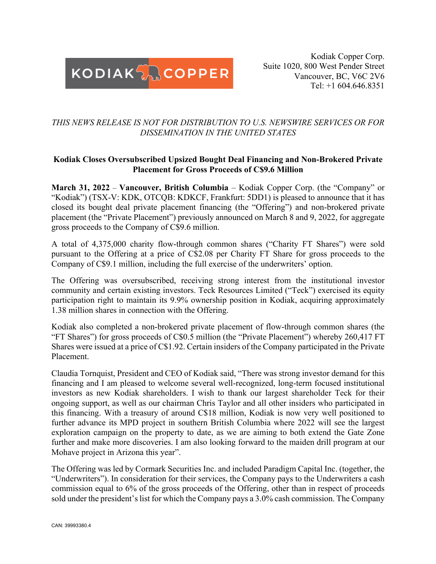

Kodiak Copper Corp. Suite 1020, 800 West Pender Street Vancouver, BC, V6C 2V6 Tel: +1 604.646.8351

# *THIS NEWS RELEASE IS NOT FOR DISTRIBUTION TO U.S. NEWSWIRE SERVICES OR FOR DISSEMINATION IN THE UNITED STATES*

# **Kodiak Closes Oversubscribed Upsized Bought Deal Financing and Non-Brokered Private Placement for Gross Proceeds of C\$9.6 Million**

**March 31, 2022** – **Vancouver, British Columbia** – Kodiak Copper Corp. (the "Company" or "Kodiak") (TSX-V: KDK, OTCQB: KDKCF, Frankfurt: 5DD1) is pleased to announce that it has closed its bought deal private placement financing (the "Offering") and non-brokered private placement (the "Private Placement") previously announced on March 8 and 9, 2022, for aggregate gross proceeds to the Company of C\$9.6 million.

A total of 4,375,000 charity flow-through common shares ("Charity FT Shares") were sold pursuant to the Offering at a price of C\$2.08 per Charity FT Share for gross proceeds to the Company of C\$9.1 million, including the full exercise of the underwriters' option.

The Offering was oversubscribed, receiving strong interest from the institutional investor community and certain existing investors. Teck Resources Limited ("Teck") exercised its equity participation right to maintain its 9.9% ownership position in Kodiak, acquiring approximately 1.38 million shares in connection with the Offering.

Kodiak also completed a non-brokered private placement of flow-through common shares (the "FT Shares") for gross proceeds of C\$0.5 million (the "Private Placement") whereby 260,417 FT Shares were issued at a price of C\$1.92. Certain insiders of the Company participated in the Private Placement.

Claudia Tornquist, President and CEO of Kodiak said, "There was strong investor demand for this financing and I am pleased to welcome several well-recognized, long-term focused institutional investors as new Kodiak shareholders. I wish to thank our largest shareholder Teck for their ongoing support, as well as our chairman Chris Taylor and all other insiders who participated in this financing. With a treasury of around C\$18 million, Kodiak is now very well positioned to further advance its MPD project in southern British Columbia where 2022 will see the largest exploration campaign on the property to date, as we are aiming to both extend the Gate Zone further and make more discoveries. I am also looking forward to the maiden drill program at our Mohave project in Arizona this year".

The Offering was led by Cormark Securities Inc. and included Paradigm Capital Inc. (together, the "Underwriters"). In consideration for their services, the Company pays to the Underwriters a cash commission equal to 6% of the gross proceeds of the Offering, other than in respect of proceeds sold under the president's list for which the Company pays a 3.0% cash commission. The Company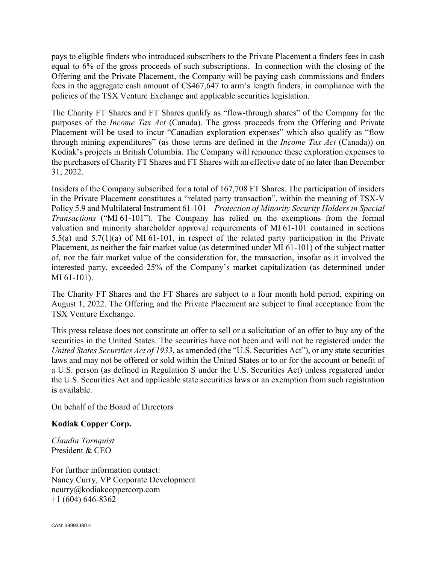pays to eligible finders who introduced subscribers to the Private Placement a finders fees in cash equal to 6% of the gross proceeds of such subscriptions. In connection with the closing of the Offering and the Private Placement, the Company will be paying cash commissions and finders fees in the aggregate cash amount of C\$467,647 to arm's length finders, in compliance with the policies of the TSX Venture Exchange and applicable securities legislation.

The Charity FT Shares and FT Shares qualify as "flow-through shares" of the Company for the purposes of the *Income Tax Act* (Canada). The gross proceeds from the Offering and Private Placement will be used to incur "Canadian exploration expenses" which also qualify as "flow through mining expenditures" (as those terms are defined in the *Income Tax Act* (Canada)) on Kodiak's projects in British Columbia. The Company will renounce these exploration expenses to the purchasers of Charity FT Shares and FT Shares with an effective date of no later than December 31, 2022.

Insiders of the Company subscribed for a total of 167,708 FT Shares. The participation of insiders in the Private Placement constitutes a "related party transaction", within the meaning of TSX-V Policy 5.9 and Multilateral Instrument 61-101 – *Protection of Minority Security Holders in Special Transactions* ("MI 61-101"). The Company has relied on the exemptions from the formal valuation and minority shareholder approval requirements of MI 61-101 contained in sections 5.5(a) and 5.7(1)(a) of MI 61-101, in respect of the related party participation in the Private Placement, as neither the fair market value (as determined under MI 61-101) of the subject matter of, nor the fair market value of the consideration for, the transaction, insofar as it involved the interested party, exceeded 25% of the Company's market capitalization (as determined under MI 61-101).

The Charity FT Shares and the FT Shares are subject to a four month hold period, expiring on August 1, 2022. The Offering and the Private Placement are subject to final acceptance from the TSX Venture Exchange.

This press release does not constitute an offer to sell or a solicitation of an offer to buy any of the securities in the United States. The securities have not been and will not be registered under the *United States Securities Act of 1933*, as amended (the "U.S. Securities Act"), or any state securities laws and may not be offered or sold within the United States or to or for the account or benefit of a U.S. person (as defined in Regulation S under the U.S. Securities Act) unless registered under the U.S. Securities Act and applicable state securities laws or an exemption from such registration is available.

On behalf of the Board of Directors

#### **Kodiak Copper Corp.**

*Claudia Tornquist* President & CEO

For further information contact: Nancy Curry, VP Corporate Development ncurry@kodiakcoppercorp.com  $+1$  (604) 646-8362